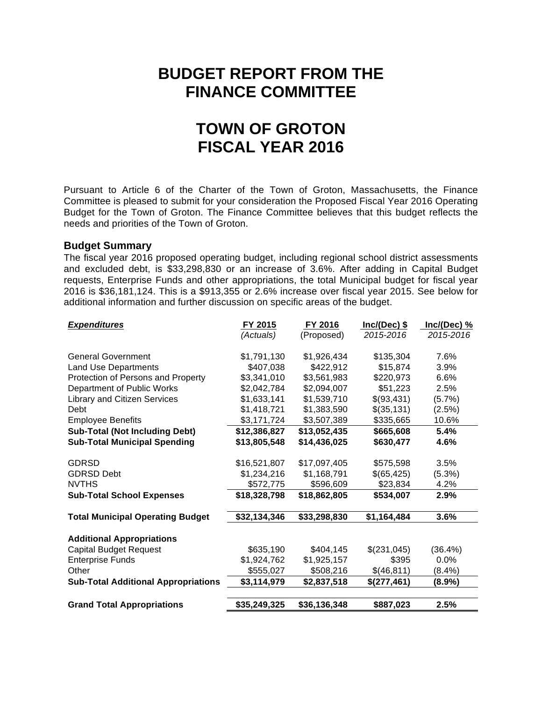# **BUDGET REPORT FROM THE FINANCE COMMITTEE**

# **TOWN OF GROTON FISCAL YEAR 2016**

Pursuant to Article 6 of the Charter of the Town of Groton, Massachusetts, the Finance Committee is pleased to submit for your consideration the Proposed Fiscal Year 2016 Operating Budget for the Town of Groton. The Finance Committee believes that this budget reflects the needs and priorities of the Town of Groton.

# **Budget Summary**

The fiscal year 2016 proposed operating budget, including regional school district assessments and excluded debt, is \$33,298,830 or an increase of 3.6%. After adding in Capital Budget requests, Enterprise Funds and other appropriations, the total Municipal budget for fiscal year 2016 is \$36,181,124. This is a \$913,355 or 2.6% increase over fiscal year 2015. See below for additional information and further discussion on specific areas of the budget.

| <b>Expenditures</b>                        | FY 2015      | FY 2016      | $Inc/(Dec)$ \$ | $Inc/(Dec)$ % |
|--------------------------------------------|--------------|--------------|----------------|---------------|
|                                            | (Actuals)    | (Proposed)   | 2015-2016      | 2015-2016     |
|                                            |              |              |                |               |
| <b>General Government</b>                  | \$1,791,130  | \$1,926,434  | \$135,304      | 7.6%          |
| <b>Land Use Departments</b>                | \$407,038    | \$422,912    | \$15,874       | 3.9%          |
| Protection of Persons and Property         | \$3,341,010  | \$3,561,983  | \$220,973      | 6.6%          |
| Department of Public Works                 | \$2,042,784  | \$2,094,007  | \$51,223       | 2.5%          |
| <b>Library and Citizen Services</b>        | \$1,633,141  | \$1,539,710  | \$(93,431)     | (5.7%)        |
| Debt                                       | \$1,418,721  | \$1,383,590  | \$(35, 131)    | (2.5%)        |
| <b>Employee Benefits</b>                   | \$3,171,724  | \$3,507,389  | \$335,665      | 10.6%         |
| <b>Sub-Total (Not Including Debt)</b>      | \$12,386,827 | \$13,052,435 | \$665,608      | 5.4%          |
| <b>Sub-Total Municipal Spending</b>        | \$13,805,548 | \$14,436,025 | \$630,477      | 4.6%          |
|                                            |              |              |                |               |
| <b>GDRSD</b>                               | \$16,521,807 | \$17,097,405 | \$575,598      | 3.5%          |
| <b>GDRSD Debt</b>                          | \$1,234,216  | \$1,168,791  | \$(65, 425)    | (5.3%)        |
| <b>NVTHS</b>                               | \$572,775    | \$596,609    | \$23,834       | 4.2%          |
| <b>Sub-Total School Expenses</b>           | \$18,328,798 | \$18,862,805 | \$534,007      | 2.9%          |
| <b>Total Municipal Operating Budget</b>    | \$32,134,346 | \$33,298,830 | \$1,164,484    | 3.6%          |
|                                            |              |              |                |               |
| <b>Additional Appropriations</b>           |              |              |                |               |
| <b>Capital Budget Request</b>              | \$635,190    | \$404,145    | \$(231,045)    | (36.4%)       |
| <b>Enterprise Funds</b>                    | \$1,924,762  | \$1,925,157  | \$395          | 0.0%          |
| Other                                      | \$555,027    | \$508,216    | \$(46,811)     | $(8.4\%)$     |
| <b>Sub-Total Additional Appropriations</b> | \$3,114,979  | \$2,837,518  | \$(277,461)    | $(8.9\%)$     |
|                                            |              |              |                |               |
| <b>Grand Total Appropriations</b>          | \$35,249,325 | \$36,136,348 | \$887,023      | 2.5%          |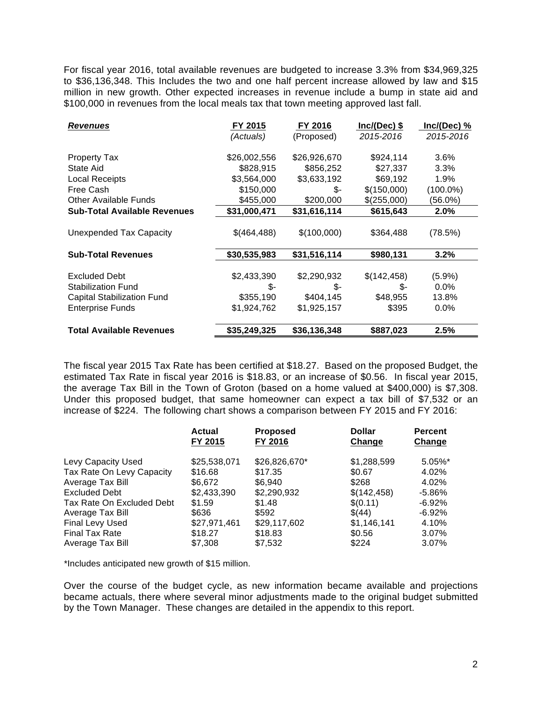For fiscal year 2016, total available revenues are budgeted to increase 3.3% from \$34,969,325 to \$36,136,348. This Includes the two and one half percent increase allowed by law and \$15 million in new growth. Other expected increases in revenue include a bump in state aid and \$100,000 in revenues from the local meals tax that town meeting approved last fall.

| <b>Revenues</b>                                   | FY 2015            | FY 2016            | $Inc/(Dec)$ \$     | Inc/(Dec) %       |
|---------------------------------------------------|--------------------|--------------------|--------------------|-------------------|
|                                                   | (Actuals)          | (Proposed)         | 2015-2016          | 2015-2016         |
| Property Tax                                      | \$26,002,556       | \$26,926,670       | \$924,114          | 3.6%              |
| State Aid                                         | \$828,915          | \$856,252          | \$27,337           | 3.3%              |
| <b>Local Receipts</b>                             | \$3,564,000        | \$3,633,192        | \$69,192           | $1.9\%$           |
| Free Cash                                         | \$150,000          | \$-                | \$(150,000)        | $(100.0\%)$       |
| <b>Other Available Funds</b>                      | \$455,000          | \$200,000          | \$(255,000)        | (56.0%)           |
| <b>Sub-Total Available Revenues</b>               | \$31,000,471       | \$31,616,114       | \$615,643          | 2.0%              |
| Unexpended Tax Capacity                           | \$(464,488)        | \$(100,000)        | \$364,488          | (78.5%)           |
| <b>Sub-Total Revenues</b>                         | \$30,535,983       | \$31,516,114       | \$980,131          | 3.2%              |
| <b>Excluded Debt</b><br><b>Stabilization Fund</b> | \$2,433,390<br>\$- | \$2,290,932<br>\$- | \$(142,458)<br>\$- | (5.9%)<br>$0.0\%$ |
| <b>Capital Stabilization Fund</b>                 | \$355,190          | \$404,145          | \$48,955           | 13.8%             |
| <b>Enterprise Funds</b>                           | \$1,924,762        | \$1,925,157        | \$395              | $0.0\%$           |
| <b>Total Available Revenues</b>                   | \$35,249,325       | \$36,136,348       | \$887,023          | 2.5%              |

The fiscal year 2015 Tax Rate has been certified at \$18.27. Based on the proposed Budget, the estimated Tax Rate in fiscal year 2016 is \$18.83, or an increase of \$0.56. In fiscal year 2015, the average Tax Bill in the Town of Groton (based on a home valued at \$400,000) is \$7,308. Under this proposed budget, that same homeowner can expect a tax bill of \$7,532 or an increase of \$224. The following chart shows a comparison between FY 2015 and FY 2016:

|                           | <b>Actual</b> | <b>Proposed</b> | <b>Dollar</b> | <b>Percent</b> |
|---------------------------|---------------|-----------------|---------------|----------------|
|                           | FY 2015       | FY 2016         | Change        | Change         |
| Levy Capacity Used        | \$25,538,071  | \$26,826,670*   | \$1,288,599   | 5.05%*         |
| Tax Rate On Levy Capacity | \$16.68       | \$17.35         | \$0.67        | 4.02%          |
| Average Tax Bill          | \$6,672       | \$6,940         | \$268         | 4.02%          |
| <b>Excluded Debt</b>      | \$2,433,390   | \$2,290,932     | \$(142, 458)  | $-5.86\%$      |
| Tax Rate On Excluded Debt | \$1.59        | \$1.48          | \$(0.11)      | $-6.92%$       |
| Average Tax Bill          | \$636         | \$592           | \$(44)        | $-6.92%$       |
| Final Levy Used           | \$27,971,461  | \$29,117,602    | \$1,146,141   | 4.10%          |
| <b>Final Tax Rate</b>     | \$18.27       | \$18.83         | \$0.56        | 3.07%          |
| Average Tax Bill          | \$7.308       | \$7,532         | \$224         | 3.07%          |

\*Includes anticipated new growth of \$15 million.

Over the course of the budget cycle, as new information became available and projections became actuals, there where several minor adjustments made to the original budget submitted by the Town Manager. These changes are detailed in the appendix to this report.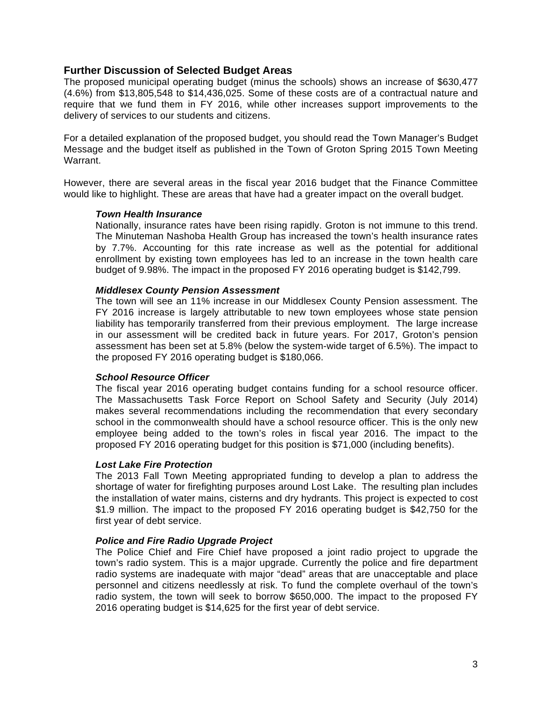# **Further Discussion of Selected Budget Areas**

The proposed municipal operating budget (minus the schools) shows an increase of \$630,477 (4.6%) from \$13,805,548 to \$14,436,025. Some of these costs are of a contractual nature and require that we fund them in FY 2016, while other increases support improvements to the delivery of services to our students and citizens.

For a detailed explanation of the proposed budget, you should read the Town Manager's Budget Message and the budget itself as published in the Town of Groton Spring 2015 Town Meeting Warrant.

However, there are several areas in the fiscal year 2016 budget that the Finance Committee would like to highlight. These are areas that have had a greater impact on the overall budget.

# *Town Health Insurance*

Nationally, insurance rates have been rising rapidly. Groton is not immune to this trend. The Minuteman Nashoba Health Group has increased the town's health insurance rates by 7.7%. Accounting for this rate increase as well as the potential for additional enrollment by existing town employees has led to an increase in the town health care budget of 9.98%. The impact in the proposed FY 2016 operating budget is \$142,799.

# *Middlesex County Pension Assessment*

The town will see an 11% increase in our Middlesex County Pension assessment. The FY 2016 increase is largely attributable to new town employees whose state pension liability has temporarily transferred from their previous employment. The large increase in our assessment will be credited back in future years. For 2017, Groton's pension assessment has been set at 5.8% (below the system-wide target of 6.5%). The impact to the proposed FY 2016 operating budget is \$180,066.

# *School Resource Officer*

The fiscal year 2016 operating budget contains funding for a school resource officer. The Massachusetts Task Force Report on School Safety and Security (July 2014) makes several recommendations including the recommendation that every secondary school in the commonwealth should have a school resource officer. This is the only new employee being added to the town's roles in fiscal year 2016. The impact to the proposed FY 2016 operating budget for this position is \$71,000 (including benefits).

# *Lost Lake Fire Protection*

The 2013 Fall Town Meeting appropriated funding to develop a plan to address the shortage of water for firefighting purposes around Lost Lake. The resulting plan includes the installation of water mains, cisterns and dry hydrants. This project is expected to cost \$1.9 million. The impact to the proposed FY 2016 operating budget is \$42,750 for the first year of debt service.

# *Police and Fire Radio Upgrade Project*

The Police Chief and Fire Chief have proposed a joint radio project to upgrade the town's radio system. This is a major upgrade. Currently the police and fire department radio systems are inadequate with major "dead" areas that are unacceptable and place personnel and citizens needlessly at risk. To fund the complete overhaul of the town's radio system, the town will seek to borrow \$650,000. The impact to the proposed FY 2016 operating budget is \$14,625 for the first year of debt service.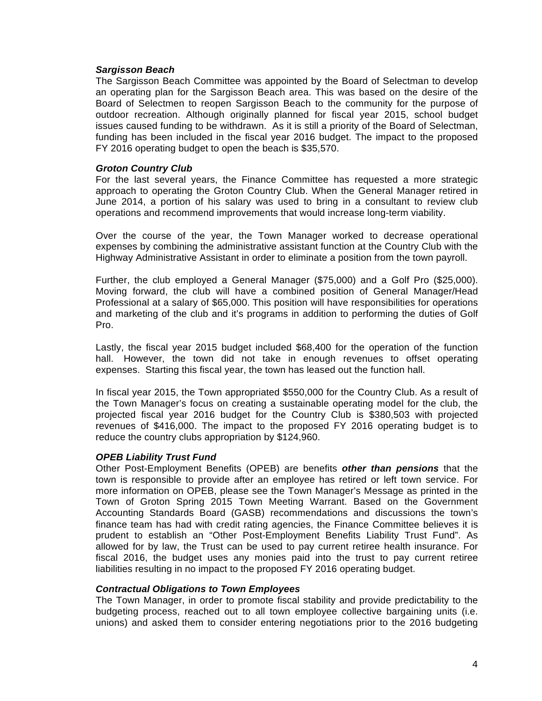#### *Sargisson Beach*

The Sargisson Beach Committee was appointed by the Board of Selectman to develop an operating plan for the Sargisson Beach area. This was based on the desire of the Board of Selectmen to reopen Sargisson Beach to the community for the purpose of outdoor recreation. Although originally planned for fiscal year 2015, school budget issues caused funding to be withdrawn. As it is still a priority of the Board of Selectman, funding has been included in the fiscal year 2016 budget. The impact to the proposed FY 2016 operating budget to open the beach is \$35,570.

#### *Groton Country Club*

For the last several years, the Finance Committee has requested a more strategic approach to operating the Groton Country Club. When the General Manager retired in June 2014, a portion of his salary was used to bring in a consultant to review club operations and recommend improvements that would increase long-term viability.

Over the course of the year, the Town Manager worked to decrease operational expenses by combining the administrative assistant function at the Country Club with the Highway Administrative Assistant in order to eliminate a position from the town payroll.

Further, the club employed a General Manager (\$75,000) and a Golf Pro (\$25,000). Moving forward, the club will have a combined position of General Manager/Head Professional at a salary of \$65,000. This position will have responsibilities for operations and marketing of the club and it's programs in addition to performing the duties of Golf Pro.

Lastly, the fiscal year 2015 budget included \$68,400 for the operation of the function hall. However, the town did not take in enough revenues to offset operating expenses. Starting this fiscal year, the town has leased out the function hall.

In fiscal year 2015, the Town appropriated \$550,000 for the Country Club. As a result of the Town Manager's focus on creating a sustainable operating model for the club, the projected fiscal year 2016 budget for the Country Club is \$380,503 with projected revenues of \$416,000. The impact to the proposed FY 2016 operating budget is to reduce the country clubs appropriation by \$124,960.

#### *OPEB Liability Trust Fund*

Other Post-Employment Benefits (OPEB) are benefits *other than pensions* that the town is responsible to provide after an employee has retired or left town service. For more information on OPEB, please see the Town Manager's Message as printed in the Town of Groton Spring 2015 Town Meeting Warrant. Based on the Government Accounting Standards Board (GASB) recommendations and discussions the town's finance team has had with credit rating agencies, the Finance Committee believes it is prudent to establish an "Other Post-Employment Benefits Liability Trust Fund". As allowed for by law, the Trust can be used to pay current retiree health insurance. For fiscal 2016, the budget uses any monies paid into the trust to pay current retiree liabilities resulting in no impact to the proposed FY 2016 operating budget.

# *Contractual Obligations to Town Employees*

The Town Manager, in order to promote fiscal stability and provide predictability to the budgeting process, reached out to all town employee collective bargaining units (i.e. unions) and asked them to consider entering negotiations prior to the 2016 budgeting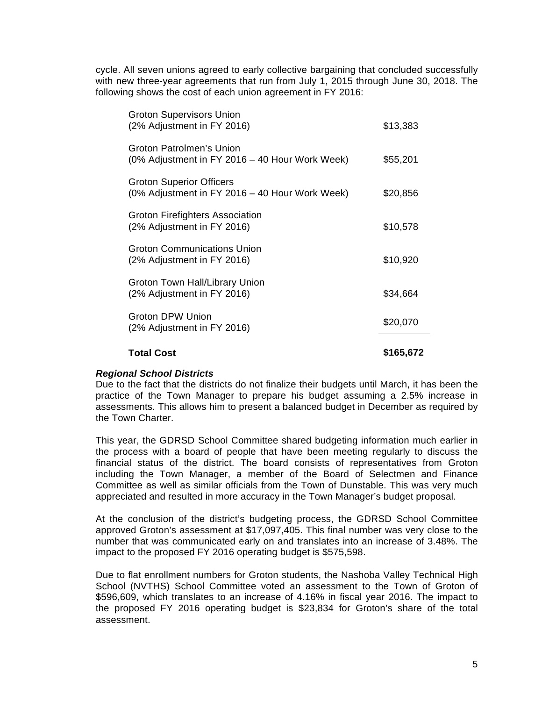cycle. All seven unions agreed to early collective bargaining that concluded successfully with new three-year agreements that run from July 1, 2015 through June 30, 2018. The following shows the cost of each union agreement in FY 2016:

| <b>Total Cost</b>                                                                 | \$165,672 |
|-----------------------------------------------------------------------------------|-----------|
| Groton DPW Union<br>(2% Adjustment in FY 2016)                                    | \$20,070  |
| Groton Town Hall/Library Union<br>(2% Adjustment in FY 2016)                      | \$34,664  |
| <b>Groton Communications Union</b><br>(2% Adjustment in FY 2016)                  | \$10,920  |
| Groton Firefighters Association<br>(2% Adjustment in FY 2016)                     | \$10,578  |
| <b>Groton Superior Officers</b><br>(0% Adjustment in FY 2016 – 40 Hour Work Week) | \$20,856  |
| Groton Patrolmen's Union<br>(0% Adjustment in FY 2016 – 40 Hour Work Week)        | \$55,201  |
| <b>Groton Supervisors Union</b><br>(2% Adjustment in FY 2016)                     | \$13,383  |

# *Regional School Districts*

Due to the fact that the districts do not finalize their budgets until March, it has been the practice of the Town Manager to prepare his budget assuming a 2.5% increase in assessments. This allows him to present a balanced budget in December as required by the Town Charter.

This year, the GDRSD School Committee shared budgeting information much earlier in the process with a board of people that have been meeting regularly to discuss the financial status of the district. The board consists of representatives from Groton including the Town Manager, a member of the Board of Selectmen and Finance Committee as well as similar officials from the Town of Dunstable. This was very much appreciated and resulted in more accuracy in the Town Manager's budget proposal.

At the conclusion of the district's budgeting process, the GDRSD School Committee approved Groton's assessment at \$17,097,405. This final number was very close to the number that was communicated early on and translates into an increase of 3.48%. The impact to the proposed FY 2016 operating budget is \$575,598.

Due to flat enrollment numbers for Groton students, the Nashoba Valley Technical High School (NVTHS) School Committee voted an assessment to the Town of Groton of \$596,609, which translates to an increase of 4.16% in fiscal year 2016. The impact to the proposed FY 2016 operating budget is \$23,834 for Groton's share of the total assessment.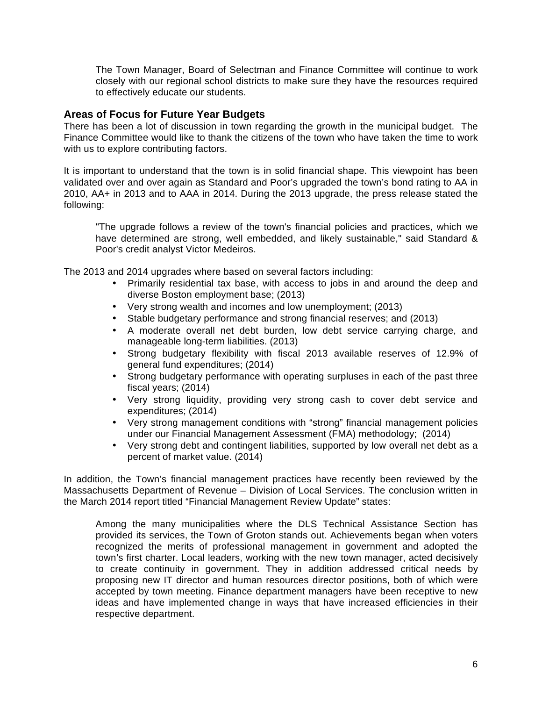The Town Manager, Board of Selectman and Finance Committee will continue to work closely with our regional school districts to make sure they have the resources required to effectively educate our students.

# **Areas of Focus for Future Year Budgets**

There has been a lot of discussion in town regarding the growth in the municipal budget. The Finance Committee would like to thank the citizens of the town who have taken the time to work with us to explore contributing factors.

It is important to understand that the town is in solid financial shape. This viewpoint has been validated over and over again as Standard and Poor's upgraded the town's bond rating to AA in 2010, AA+ in 2013 and to AAA in 2014. During the 2013 upgrade, the press release stated the following:

"The upgrade follows a review of the town's financial policies and practices, which we have determined are strong, well embedded, and likely sustainable," said Standard & Poor's credit analyst Victor Medeiros.

The 2013 and 2014 upgrades where based on several factors including:

- Primarily residential tax base, with access to jobs in and around the deep and diverse Boston employment base; (2013)
- Very strong wealth and incomes and low unemployment; (2013)
- Stable budgetary performance and strong financial reserves; and (2013)
- A moderate overall net debt burden, low debt service carrying charge, and manageable long-term liabilities. (2013)
- Strong budgetary flexibility with fiscal 2013 available reserves of 12.9% of general fund expenditures; (2014)
- Strong budgetary performance with operating surpluses in each of the past three fiscal years; (2014)
- Very strong liquidity, providing very strong cash to cover debt service and expenditures; (2014)
- Very strong management conditions with "strong" financial management policies under our Financial Management Assessment (FMA) methodology; (2014)
- Very strong debt and contingent liabilities, supported by low overall net debt as a percent of market value. (2014)

In addition, the Town's financial management practices have recently been reviewed by the Massachusetts Department of Revenue – Division of Local Services. The conclusion written in the March 2014 report titled "Financial Management Review Update" states:

Among the many municipalities where the DLS Technical Assistance Section has provided its services, the Town of Groton stands out. Achievements began when voters recognized the merits of professional management in government and adopted the town's first charter. Local leaders, working with the new town manager, acted decisively to create continuity in government. They in addition addressed critical needs by proposing new IT director and human resources director positions, both of which were accepted by town meeting. Finance department managers have been receptive to new ideas and have implemented change in ways that have increased efficiencies in their respective department.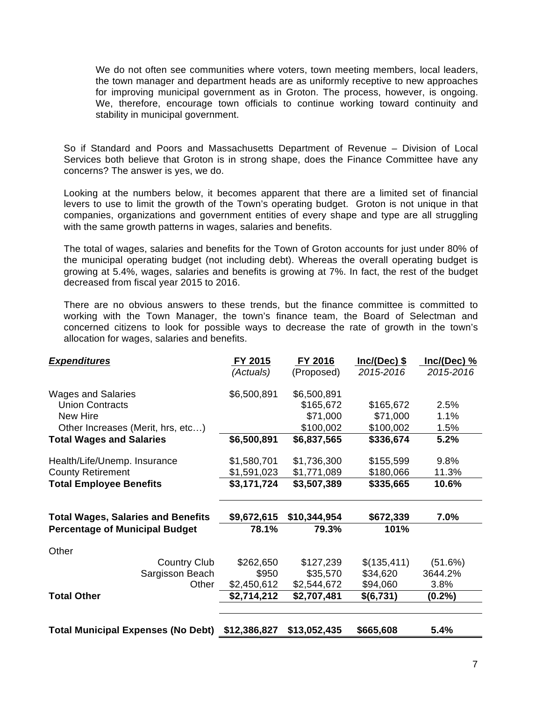We do not often see communities where voters, town meeting members, local leaders, the town manager and department heads are as uniformly receptive to new approaches for improving municipal government as in Groton. The process, however, is ongoing. We, therefore, encourage town officials to continue working toward continuity and stability in municipal government.

So if Standard and Poors and Massachusetts Department of Revenue – Division of Local Services both believe that Groton is in strong shape, does the Finance Committee have any concerns? The answer is yes, we do.

Looking at the numbers below, it becomes apparent that there are a limited set of financial levers to use to limit the growth of the Town's operating budget. Groton is not unique in that companies, organizations and government entities of every shape and type are all struggling with the same growth patterns in wages, salaries and benefits.

The total of wages, salaries and benefits for the Town of Groton accounts for just under 80% of the municipal operating budget (not including debt). Whereas the overall operating budget is growing at 5.4%, wages, salaries and benefits is growing at 7%. In fact, the rest of the budget decreased from fiscal year 2015 to 2016.

There are no obvious answers to these trends, but the finance committee is committed to working with the Town Manager, the town's finance team, the Board of Selectman and concerned citizens to look for possible ways to decrease the rate of growth in the town's allocation for wages, salaries and benefits.

| <b>Expenditures</b>                                                  |                     | FY 2015                    | FY 2016      | $Inc/(Dec)$ \$         | Inc/(Dec) %  |
|----------------------------------------------------------------------|---------------------|----------------------------|--------------|------------------------|--------------|
|                                                                      |                     | (Actuals)                  | (Proposed)   | 2015-2016              | 2015-2016    |
| <b>Wages and Salaries</b>                                            |                     | \$6,500,891                | \$6,500,891  |                        |              |
| <b>Union Contracts</b>                                               |                     |                            | \$165,672    | \$165,672              | 2.5%         |
| New Hire                                                             |                     |                            | \$71,000     | \$71,000               | 1.1%         |
| Other Increases (Merit, hrs, etc)<br><b>Total Wages and Salaries</b> |                     | \$6,500,891                | \$100,002    | \$100,002<br>\$336,674 | 1.5%<br>5.2% |
|                                                                      |                     |                            | \$6,837,565  |                        |              |
| Health/Life/Unemp. Insurance                                         |                     | \$1,580,701                | \$1,736,300  | \$155,599              | 9.8%         |
| <b>County Retirement</b>                                             |                     | \$1,591,023                | \$1,771,089  | \$180,066              | 11.3%        |
| <b>Total Employee Benefits</b>                                       |                     | \$3,171,724<br>\$3,507,389 | \$335,665    | 10.6%                  |              |
| <b>Total Wages, Salaries and Benefits</b>                            |                     | \$9,672,615                | \$10,344,954 | \$672,339              | 7.0%         |
| <b>Percentage of Municipal Budget</b>                                |                     | 78.1%                      | 79.3%        | 101%                   |              |
| Other                                                                |                     |                            |              |                        |              |
|                                                                      | <b>Country Club</b> | \$262,650                  | \$127,239    | \$(135,411)            | (51.6%)      |
|                                                                      | Sargisson Beach     | \$950                      | \$35,570     | \$34,620               | 3644.2%      |
|                                                                      | Other               | \$2,450,612                | \$2,544,672  | \$94,060               | 3.8%         |
| <b>Total Other</b>                                                   |                     | \$2,714,212                | \$2,707,481  | \$(6,731)              | $(0.2\%)$    |
| <b>Total Municipal Expenses (No Debt)</b>                            |                     | \$12,386,827               | \$13,052,435 | \$665,608              | 5.4%         |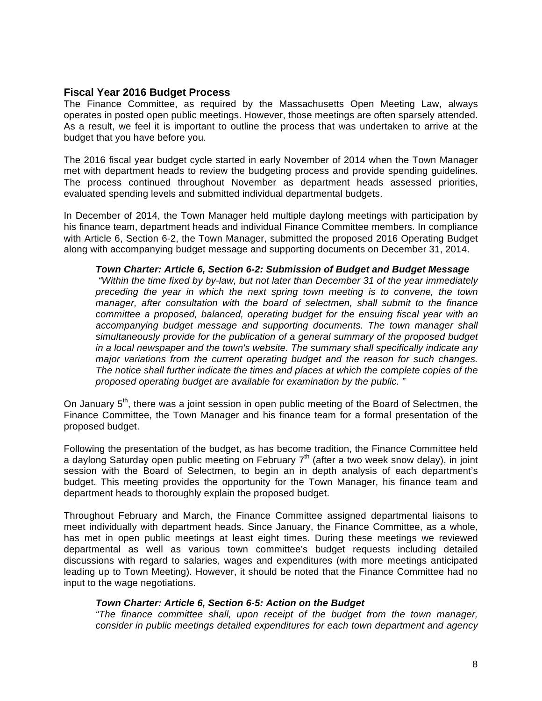# **Fiscal Year 2016 Budget Process**

The Finance Committee, as required by the Massachusetts Open Meeting Law, always operates in posted open public meetings. However, those meetings are often sparsely attended. As a result, we feel it is important to outline the process that was undertaken to arrive at the budget that you have before you.

The 2016 fiscal year budget cycle started in early November of 2014 when the Town Manager met with department heads to review the budgeting process and provide spending guidelines. The process continued throughout November as department heads assessed priorities, evaluated spending levels and submitted individual departmental budgets.

In December of 2014, the Town Manager held multiple daylong meetings with participation by his finance team, department heads and individual Finance Committee members. In compliance with Article 6, Section 6-2, the Town Manager, submitted the proposed 2016 Operating Budget along with accompanying budget message and supporting documents on December 31, 2014.

#### *Town Charter: Article 6, Section 6-2: Submission of Budget and Budget Message*

*"Within the time fixed by by-law, but not later than December 31 of the year immediately preceding the year in which the next spring town meeting is to convene, the town manager, after consultation with the board of selectmen, shall submit to the finance committee a proposed, balanced, operating budget for the ensuing fiscal year with an accompanying budget message and supporting documents. The town manager shall simultaneously provide for the publication of a general summary of the proposed budget in a local newspaper and the town's website. The summary shall specifically indicate any major variations from the current operating budget and the reason for such changes. The notice shall further indicate the times and places at which the complete copies of the proposed operating budget are available for examination by the public. "*

On January  $5<sup>th</sup>$ , there was a joint session in open public meeting of the Board of Selectmen, the Finance Committee, the Town Manager and his finance team for a formal presentation of the proposed budget.

Following the presentation of the budget, as has become tradition, the Finance Committee held a daylong Saturday open public meeting on February  $7<sup>th</sup>$  (after a two week snow delay), in joint session with the Board of Selectmen, to begin an in depth analysis of each department's budget. This meeting provides the opportunity for the Town Manager, his finance team and department heads to thoroughly explain the proposed budget.

Throughout February and March, the Finance Committee assigned departmental liaisons to meet individually with department heads. Since January, the Finance Committee, as a whole, has met in open public meetings at least eight times. During these meetings we reviewed departmental as well as various town committee's budget requests including detailed discussions with regard to salaries, wages and expenditures (with more meetings anticipated leading up to Town Meeting). However, it should be noted that the Finance Committee had no input to the wage negotiations.

# *Town Charter: Article 6, Section 6-5: Action on the Budget*

*"The finance committee shall, upon receipt of the budget from the town manager, consider in public meetings detailed expenditures for each town department and agency*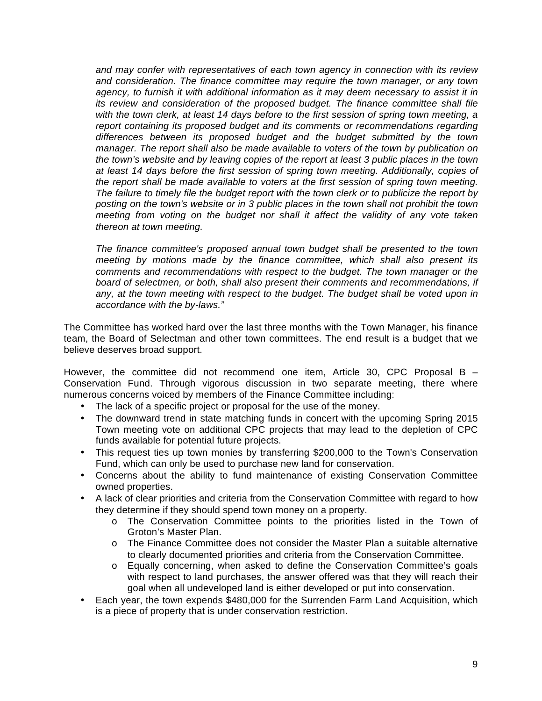*and may confer with representatives of each town agency in connection with its review and consideration. The finance committee may require the town manager, or any town agency, to furnish it with additional information as it may deem necessary to assist it in its review and consideration of the proposed budget. The finance committee shall file with the town clerk, at least 14 days before to the first session of spring town meeting, a report containing its proposed budget and its comments or recommendations regarding differences between its proposed budget and the budget submitted by the town manager. The report shall also be made available to voters of the town by publication on the town's website and by leaving copies of the report at least 3 public places in the town at least 14 days before the first session of spring town meeting. Additionally, copies of the report shall be made available to voters at the first session of spring town meeting. The failure to timely file the budget report with the town clerk or to publicize the report by posting on the town's website or in 3 public places in the town shall not prohibit the town meeting from voting on the budget nor shall it affect the validity of any vote taken thereon at town meeting.* 

*The finance committee's proposed annual town budget shall be presented to the town meeting by motions made by the finance committee, which shall also present its comments and recommendations with respect to the budget. The town manager or the board of selectmen, or both, shall also present their comments and recommendations, if any, at the town meeting with respect to the budget. The budget shall be voted upon in accordance with the by-laws."*

The Committee has worked hard over the last three months with the Town Manager, his finance team, the Board of Selectman and other town committees. The end result is a budget that we believe deserves broad support.

However, the committee did not recommend one item, Article 30, CPC Proposal B – Conservation Fund. Through vigorous discussion in two separate meeting, there where numerous concerns voiced by members of the Finance Committee including:

- The lack of a specific project or proposal for the use of the money.
- The downward trend in state matching funds in concert with the upcoming Spring 2015 Town meeting vote on additional CPC projects that may lead to the depletion of CPC funds available for potential future projects.
- This request ties up town monies by transferring \$200,000 to the Town's Conservation Fund, which can only be used to purchase new land for conservation.
- Concerns about the ability to fund maintenance of existing Conservation Committee owned properties.
- A lack of clear priorities and criteria from the Conservation Committee with regard to how they determine if they should spend town money on a property.
	- o The Conservation Committee points to the priorities listed in the Town of Groton's Master Plan.
	- o The Finance Committee does not consider the Master Plan a suitable alternative to clearly documented priorities and criteria from the Conservation Committee.
	- o Equally concerning, when asked to define the Conservation Committee's goals with respect to land purchases, the answer offered was that they will reach their goal when all undeveloped land is either developed or put into conservation.
- Each year, the town expends \$480,000 for the Surrenden Farm Land Acquisition, which is a piece of property that is under conservation restriction.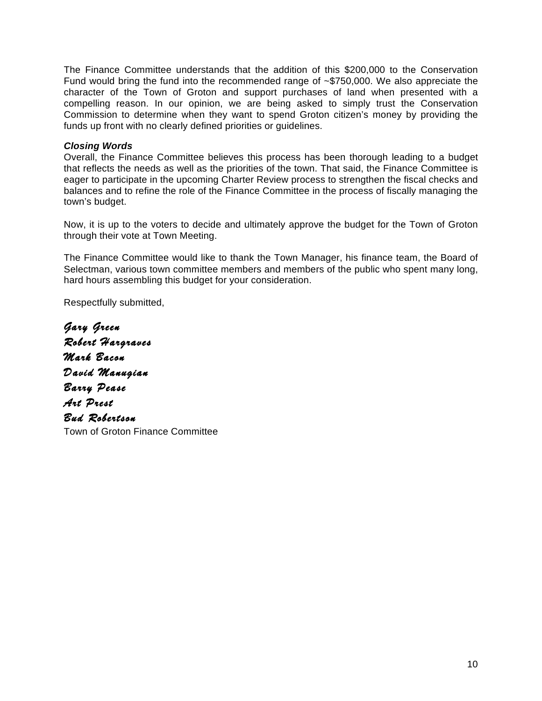The Finance Committee understands that the addition of this \$200,000 to the Conservation Fund would bring the fund into the recommended range of ~\$750,000. We also appreciate the character of the Town of Groton and support purchases of land when presented with a compelling reason. In our opinion, we are being asked to simply trust the Conservation Commission to determine when they want to spend Groton citizen's money by providing the funds up front with no clearly defined priorities or guidelines.

# *Closing Words*

Overall, the Finance Committee believes this process has been thorough leading to a budget that reflects the needs as well as the priorities of the town. That said, the Finance Committee is eager to participate in the upcoming Charter Review process to strengthen the fiscal checks and balances and to refine the role of the Finance Committee in the process of fiscally managing the town's budget.

Now, it is up to the voters to decide and ultimately approve the budget for the Town of Groton through their vote at Town Meeting.

The Finance Committee would like to thank the Town Manager, his finance team, the Board of Selectman, various town committee members and members of the public who spent many long, hard hours assembling this budget for your consideration.

Respectfully submitted,

Gary Green Robert Hargraves Mark Bacon David Manugian Barry Pease Art Prest Bud Robertson Town of Groton Finance Committee